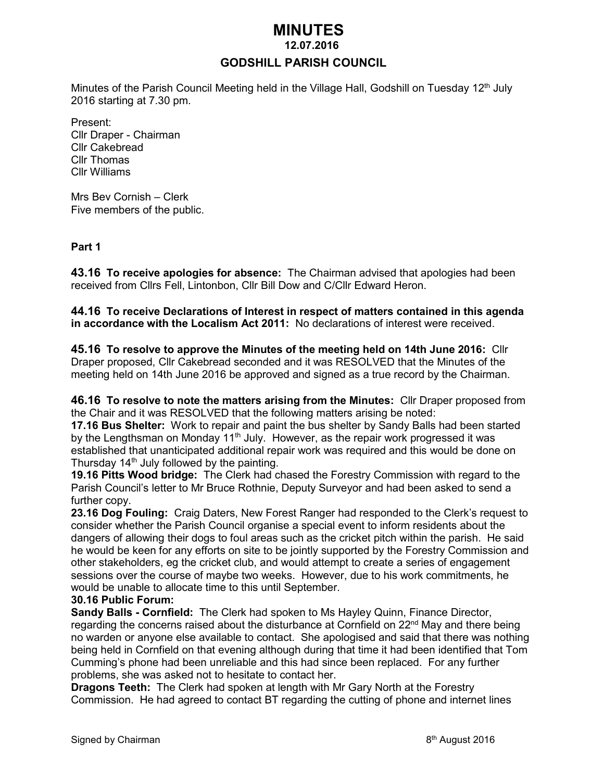# *MINUTES*

#### **12.07.2016**

## **GODSHILL PARISH COUNCIL**

Minutes of the Parish Council Meeting held in the Village Hall, Godshill on Tuesday 12<sup>th</sup> July 2016 starting at 7.30 pm.

Present: Cllr Draper - Chairman Cllr Cakebread Cllr Thomas Cllr Williams

Mrs Bev Cornish – Clerk Five members of the public.

#### **Part 1**

**43.16 To receive apologies for absence:** The Chairman advised that apologies had been received from Cllrs Fell, Lintonbon, Cllr Bill Dow and C/Cllr Edward Heron.

**44.16 To receive Declarations of Interest in respect of matters contained in this agenda in accordance with the Localism Act 2011:** No declarations of interest were received.

**45.16 To resolve to approve the Minutes of the meeting held on 14th June 2016:** Cllr Draper proposed, Cllr Cakebread seconded and it was RESOLVED that the Minutes of the meeting held on 14th June 2016 be approved and signed as a true record by the Chairman.

**46.16 To resolve to note the matters arising from the Minutes:** Cllr Draper proposed from the Chair and it was RESOLVED that the following matters arising be noted:

**17.16 Bus Shelter:** Work to repair and paint the bus shelter by Sandy Balls had been started by the Lengthsman on Monday 11<sup>th</sup> July. However, as the repair work progressed it was established that unanticipated additional repair work was required and this would be done on Thursday 14<sup>th</sup> July followed by the painting.

**19.16 Pitts Wood bridge:** The Clerk had chased the Forestry Commission with regard to the Parish Council's letter to Mr Bruce Rothnie, Deputy Surveyor and had been asked to send a further copy.

**23.16 Dog Fouling:** Craig Daters, New Forest Ranger had responded to the Clerk's request to consider whether the Parish Council organise a special event to inform residents about the dangers of allowing their dogs to foul areas such as the cricket pitch within the parish. He said he would be keen for any efforts on site to be jointly supported by the Forestry Commission and other stakeholders, eg the cricket club, and would attempt to create a series of engagement sessions over the course of maybe two weeks. However, due to his work commitments, he would be unable to allocate time to this until September.

#### **30.16 Public Forum:**

**Sandy Balls - Cornfield:** The Clerk had spoken to Ms Hayley Quinn, Finance Director, regarding the concerns raised about the disturbance at Cornfield on 22<sup>nd</sup> May and there being no warden or anyone else available to contact. She apologised and said that there was nothing being held in Cornfield on that evening although during that time it had been identified that Tom Cumming's phone had been unreliable and this had since been replaced. For any further problems, she was asked not to hesitate to contact her.

**Dragons Teeth:** The Clerk had spoken at length with Mr Gary North at the Forestry Commission. He had agreed to contact BT regarding the cutting of phone and internet lines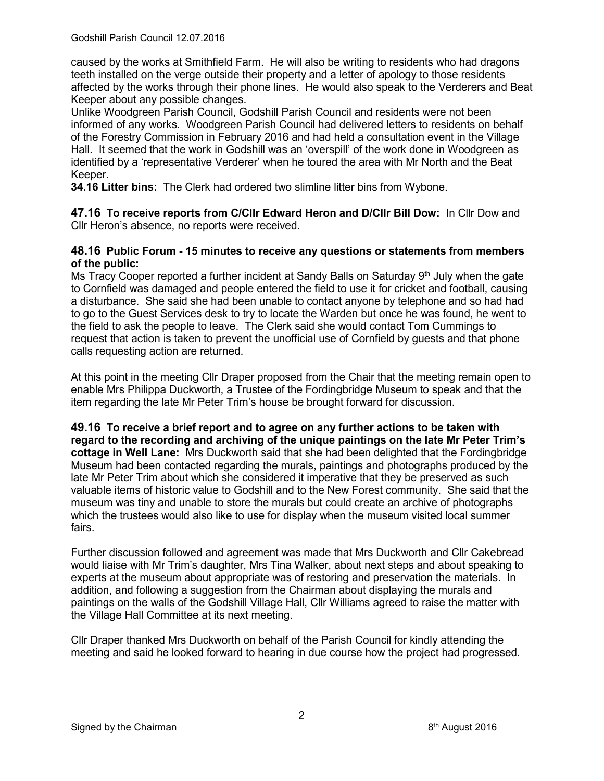caused by the works at Smithfield Farm. He will also be writing to residents who had dragons teeth installed on the verge outside their property and a letter of apology to those residents affected by the works through their phone lines. He would also speak to the Verderers and Beat Keeper about any possible changes.

Unlike Woodgreen Parish Council, Godshill Parish Council and residents were not been informed of any works. Woodgreen Parish Council had delivered letters to residents on behalf of the Forestry Commission in February 2016 and had held a consultation event in the Village Hall. It seemed that the work in Godshill was an 'overspill' of the work done in Woodgreen as identified by a 'representative Verderer' when he toured the area with Mr North and the Beat Keeper.

**34.16 Litter bins:** The Clerk had ordered two slimline litter bins from Wybone.

**47.16 To receive reports from C/Cllr Edward Heron and D/Cllr Bill Dow:** In Cllr Dow and Cllr Heron's absence, no reports were received.

## **48.16 Public Forum - 15 minutes to receive any questions or statements from members of the public:**

Ms Tracy Cooper reported a further incident at Sandy Balls on Saturday  $9<sup>th</sup>$  July when the gate to Cornfield was damaged and people entered the field to use it for cricket and football, causing a disturbance. She said she had been unable to contact anyone by telephone and so had had to go to the Guest Services desk to try to locate the Warden but once he was found, he went to the field to ask the people to leave. The Clerk said she would contact Tom Cummings to request that action is taken to prevent the unofficial use of Cornfield by guests and that phone calls requesting action are returned.

At this point in the meeting Cllr Draper proposed from the Chair that the meeting remain open to enable Mrs Philippa Duckworth, a Trustee of the Fordingbridge Museum to speak and that the item regarding the late Mr Peter Trim's house be brought forward for discussion.

**49.16 To receive a brief report and to agree on any further actions to be taken with regard to the recording and archiving of the unique paintings on the late Mr Peter Trim's cottage in Well Lane:** Mrs Duckworth said that she had been delighted that the Fordingbridge Museum had been contacted regarding the murals, paintings and photographs produced by the late Mr Peter Trim about which she considered it imperative that they be preserved as such valuable items of historic value to Godshill and to the New Forest community. She said that the museum was tiny and unable to store the murals but could create an archive of photographs which the trustees would also like to use for display when the museum visited local summer fairs.

Further discussion followed and agreement was made that Mrs Duckworth and Cllr Cakebread would liaise with Mr Trim's daughter, Mrs Tina Walker, about next steps and about speaking to experts at the museum about appropriate was of restoring and preservation the materials. In addition, and following a suggestion from the Chairman about displaying the murals and paintings on the walls of the Godshill Village Hall, Cllr Williams agreed to raise the matter with the Village Hall Committee at its next meeting.

Cllr Draper thanked Mrs Duckworth on behalf of the Parish Council for kindly attending the meeting and said he looked forward to hearing in due course how the project had progressed.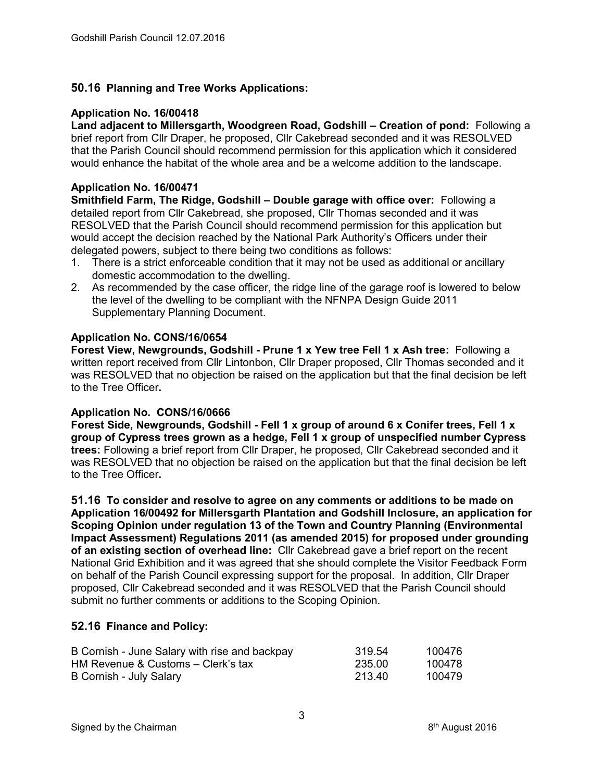## **50.16 Planning and Tree Works Applications:**

#### **Application No. 16/00418**

**Land adjacent to Millersgarth, Woodgreen Road, Godshill – Creation of pond: Following a** brief report from Cllr Draper, he proposed, Cllr Cakebread seconded and it was RESOLVED that the Parish Council should recommend permission for this application which it considered would enhance the habitat of the whole area and be a welcome addition to the landscape.

#### **Application No. 16/00471**

**Smithfield Farm, The Ridge, Godshill – Double garage with office over: Following a** detailed report from Cllr Cakebread, she proposed, Cllr Thomas seconded and it was RESOLVED that the Parish Council should recommend permission for this application but would accept the decision reached by the National Park Authority's Officers under their delegated powers, subject to there being two conditions as follows:

- 1. There is a strict enforceable condition that it may not be used as additional or ancillary domestic accommodation to the dwelling.
- 2. As recommended by the case officer, the ridge line of the garage roof is lowered to below the level of the dwelling to be compliant with the NFNPA Design Guide 2011 Supplementary Planning Document.

#### **Application No. CONS/16/0654**

**Forest View, Newgrounds, Godshill - Prune 1 x Yew tree Fell 1 x Ash tree:** Following a written report received from Cllr Lintonbon, Cllr Draper proposed, Cllr Thomas seconded and it was RESOLVED that no objection be raised on the application but that the final decision be left to the Tree Officer**.** 

## **Application No. CONS/16/0666**

**Forest Side, Newgrounds, Godshill - Fell 1 x group of around 6 x Conifer trees, Fell 1 x group of Cypress trees grown as a hedge, Fell 1 x group of unspecified number Cypress trees:** Following a brief report from Cllr Draper, he proposed, Cllr Cakebread seconded and it was RESOLVED that no objection be raised on the application but that the final decision be left to the Tree Officer**.** 

**51.16 To consider and resolve to agree on any comments or additions to be made on Application 16/00492 for Millersgarth Plantation and Godshill Inclosure, an application for Scoping Opinion under regulation 13 of the Town and Country Planning (Environmental Impact Assessment) Regulations 2011 (as amended 2015) for proposed under grounding of an existing section of overhead line:** Cllr Cakebread gave a brief report on the recent National Grid Exhibition and it was agreed that she should complete the Visitor Feedback Form on behalf of the Parish Council expressing support for the proposal. In addition, Cllr Draper proposed, Cllr Cakebread seconded and it was RESOLVED that the Parish Council should submit no further comments or additions to the Scoping Opinion.

#### **52.16 Finance and Policy:**

| B Cornish - June Salary with rise and backpay | 319.54 | 100476 |
|-----------------------------------------------|--------|--------|
| HM Revenue & Customs – Clerk's tax            | 235.00 | 100478 |
| B Cornish - July Salary                       | 213.40 | 100479 |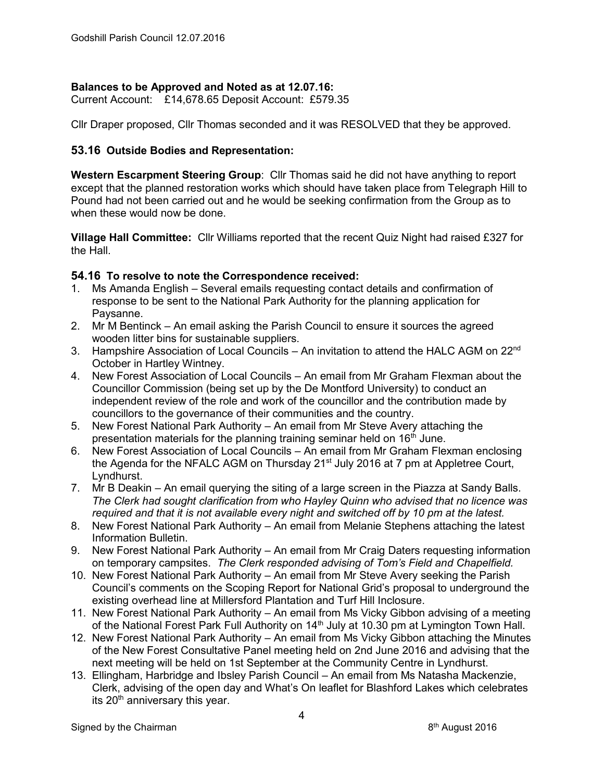## **Balances to be Approved and Noted as at 12.07.16:**

Current Account: £14,678.65 Deposit Account: £579.35

Cllr Draper proposed, Cllr Thomas seconded and it was RESOLVED that they be approved.

# **53.16 Outside Bodies and Representation:**

**Western Escarpment Steering Group**: Cllr Thomas said he did not have anything to report except that the planned restoration works which should have taken place from Telegraph Hill to Pound had not been carried out and he would be seeking confirmation from the Group as to when these would now be done.

**Village Hall Committee:** Cllr Williams reported that the recent Quiz Night had raised £327 for the Hall.

## **54.16 To resolve to note the Correspondence received:**

- 1. Ms Amanda English Several emails requesting contact details and confirmation of response to be sent to the National Park Authority for the planning application for Paysanne.
- 2. Mr M Bentinck An email asking the Parish Council to ensure it sources the agreed wooden litter bins for sustainable suppliers.
- 3. Hampshire Association of Local Councils An invitation to attend the HALC AGM on 22<sup>nd</sup> October in Hartley Wintney.
- 4. New Forest Association of Local Councils An email from Mr Graham Flexman about the Councillor Commission (being set up by the De Montford University) to conduct an independent review of the role and work of the councillor and the contribution made by councillors to the governance of their communities and the country.
- 5. New Forest National Park Authority An email from Mr Steve Avery attaching the presentation materials for the planning training seminar held on 16<sup>th</sup> June.
- 6. New Forest Association of Local Councils An email from Mr Graham Flexman enclosing the Agenda for the NFALC AGM on Thursday 21<sup>st</sup> July 2016 at 7 pm at Appletree Court, Lyndhurst.
- 7. Mr B Deakin An email querying the siting of a large screen in the Piazza at Sandy Balls. *The Clerk had sought clarification from who Hayley Quinn who advised that no licence was required and that it is not available every night and switched off by 10 pm at the latest.*
- 8. New Forest National Park Authority An email from Melanie Stephens attaching the latest Information Bulletin.
- 9. New Forest National Park Authority An email from Mr Craig Daters requesting information on temporary campsites. *The Clerk responded advising of Tom's Field and Chapelfield.*
- 10. New Forest National Park Authority An email from Mr Steve Avery seeking the Parish Council's comments on the Scoping Report for National Grid's proposal to underground the existing overhead line at Millersford Plantation and Turf Hill Inclosure.
- 11. New Forest National Park Authority An email from Ms Vicky Gibbon advising of a meeting of the National Forest Park Full Authority on 14<sup>th</sup> July at 10.30 pm at Lymington Town Hall.
- 12. New Forest National Park Authority An email from Ms Vicky Gibbon attaching the Minutes of the New Forest Consultative Panel meeting held on 2nd June 2016 and advising that the next meeting will be held on 1st September at the Community Centre in Lyndhurst.
- 13. Ellingham, Harbridge and Ibsley Parish Council An email from Ms Natasha Mackenzie, Clerk, advising of the open day and What's On leaflet for Blashford Lakes which celebrates its  $20<sup>th</sup>$  anniversary this year.